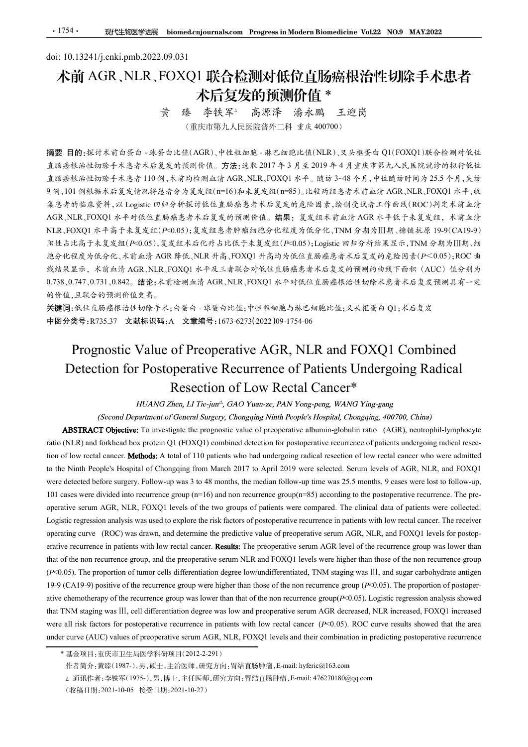# doi: 10.13241/j.cnki.pmb.2022.09.031 术前 AGR、NLR、FOXQ1 联合检测对低位直肠癌根治性切除手术患者 木后复发的预测价值 \*<br>黄 臻 李铁军△ 高源泽 潘永鹏 王迎岗

(重庆市第九人民医院普外二科 重庆 400700)

摘要 目的:探讨术前白蛋白 - 球蛋白比值(AGR)、中性粒细胞 - 淋巴细胞比值(NLR)、叉头框蛋白 Q1(FOXQ1)联合检测对低位 直肠癌根治性切除手术患者术后复发的预测价值。方法:选取 2017 年 3 月至 2019 年 4 月重庆市第九人民医院就诊的拟行低位 直肠癌根治性切除手术患者 110 例,术前均检测血清 AGR、NLR、FOXQ1 水平。随访 3~48 个月,中位随访时间为 25.5 个月,失访 9 例,101 例根据术后复发情况将患者分为复发组(n=16)和未复发组(n=85)。比较两组患者术前血清 AGR、NLR、FOXQ1 水平,收 集患者的临床资料,以 Logistic 回归分析探讨低位直肠癌患者术后复发的危险因素,绘制受试者工作曲线(ROC)判定术前血清 AGR、NLR、FOXQ1 水平对低位直肠癌患者术后复发的预测价值。结果:复发组术前血清 AGR 水平低于未复发组,术前血清 NLR、FOXQ1 水平高于未复发组(P<0.05);复发组患者肿瘤细胞分化程度为低分化、TNM 分期为Ⅲ期、糖链抗原 19-9(CA19-9) 阳性占比高于未复发组(P<0.05),复发组术后化疗占比低于未复发组(P<0.05);Logistic 回归分析结果显示,TNM 分期为Ⅲ期、细 胞分化程度为低分化、术前血清 AGR 降低、NLR 升高、FOXQ1升高均为低位直肠癌患者术后复发的危险因素(P<0.05);ROC 曲 线结果显示,术前血清 AGR、NLR、FOXO1 水平及三者联合对低位直肠癌患者术后复发的预测的曲线下面积(AUC)值分别为 0.738、0.747、0.731、0.842。结论:术前检测血清 AGR、NLR、FOXQ1 水平对低位直肠癌根治性切除术患者术后复发预测具有一定 的价值,且联合的预测价值更高。 (重庆市第九大機能施事件), 中国大学部門、 THANG 2010<br>
Prognostic Value of Properative AGR, NLR and FOXQ10, NAGR 28 (NOX)<br>
The mass of the mass of the mass of the mass of the mass of the mass of A, the mass of A, the mass of A, the mass of **目的:**探讨术首白蛋白 - 球蛋白比值(AGR)、中性粒细胞 - 淋巴细胞比值(N1.R)、文本種蛋白 (FFOXC)、結晶<br>最低性性功能手术急者不起复发的预测价值,方法:选取 2017 年 3 月至 2019 年 4 月 芒式市第九人民民院统计的标价<br>統括性幼体手术急者 110 科、库奇的金测血法 AGR, NTR, FOXQ1 4 平, 超市 3-48 个月, 平线储备时间为 25.5 个月, 失步<br>101 列根基本总复资况将急者 (16) 接测台(4), 方法:选取 2017年3月至2019年4月重床市第九人民医院就台的机后线<br>K前均检测血清 AGR、RLR、FOXQ1 水平。随访 3-48个月,中征随访时同为 25.5 个月,失访<br>K前均检测血清 AGR、RLR、FOXQ1 水平。随访 3-48个月,中征随访时同为 25.5 个月,失<br><br>S分为复复(10-16) 和表复发组(16%)。比较两组总者术前 aGR、RLR、RLR、COXQ1 水平、水<br>分析程计低位 stic ® face of \*\* <br>
For investigate the face of profession of a strate the properties of AGR \*\* <sup>46</sup> a face the profession of the properties of AGR +\* 46 + a face of preoperative albumin-s and the properties of AGR +\* 46 AGR, NLR, FOXOI 水平对低度是高意术应复光的预测价值。 鎮壓:定义组本市面前 AGR 水平低于未复交组, 木部由<br>
NLR, LOXOI 共平高手术复组化中50.95, 复位地带对部加能分化成, LOXOI (FOXQ1) combined map 与同化机构 分为组织 分别<br>
NLR) and for postoperative recurrence of Patients undergoing and the stat

关键词:低位直肠癌根治性切除手术;白蛋白 - 球蛋白比值;中性粒细胞与淋巴细胞比值;叉头框蛋白 Q1;术后复发 中图分类号:R735.37 文献标识码:A 文章编号:1673-6273(2022)09-1754-06

NIR. FOXOI 水平高于太复发组(F-0.05);复发性系等肿品和能分化程度为低元(F-0.13 分类为阻制,被链抗原19-9 (CAI9-9)<br>阿達古に高下未发发阻(F-0.05),其发生状形化疗占比有未是发组(F-0.05);Legitis Undergoing Properties R-8 fi 21 patients who Apple R-8 fi 210 patients who Apple R-8 fi 210 pa rest & the Ninth People's Hospital of Chongqing Rediction of Particles Hospital of Chong<br>
Resp. 46 to Key Apple's Actual of Apple's Actual of Apple's Actual of Apple's Actual of Apple's Actual of Apple's Actual Of Apple's *n*):  $R_0 \times R_0 \times R_0$  is a state of  $R_0 \times R_0$  is a state of  $R_0 \times R_0 \times R_0$  is expected before survey. Follow-the median follow-the median follow-the median follow-the median follow-the median follow-the median follow *8*(#米基示,米准点片 AGR, NLR, FOXQ1 水平久三者联合对体住直肠癌患者术疗发光的预测的非线下面相(LOC) (4分对为<br>
9) 作成,且(B管法、标准管理与生产、同时,以下以及可以产生的性能,而且(BCR)<br>
9) 作成,但以下,<br>
9) 作成,且(B管法、标准性的事,AGR - 具条有比化,NLR, HOXQ1 水平作低上版系统化合适较水是多术后复发预测具术一定<br>
<del>SC</del>R 的类型(AGR 系统系统通过标准)  $\mathcal{B}_1 \oplus \mathcal{B}_2 \oplus \mathcal{B}_3$ <br>  $\mathcal{B}_3 \oplus \mathcal{B}_4 \oplus \mathcal{B}_5$ <br>  $\mathcal{B}_5 \oplus \mathcal{B}_6 \oplus \mathcal{B}_6$ <br>  $\mathcal{B}_6 \oplus \mathcal{B}_6$ <br>  $\mathcal{B}_7 \oplus \mathcal{B}_7$ <br> **Prognostic Value of Preoperative AGR**, NLR and FOXQ1 Combined<br>
Detection for Postop 关键商: 66.6 A.16.8 A.48 a.16 a.b We F  $k_1$  in  $k_2$  in  $k_3$  a.b is a set of  $k_1$  in  $k_2$  a.b in  $k_3$  a.b in  $k_2$  a.b in  $k_3$  a.b in  $k_2$  a.b in  $k_3$  a.b in  $k_2$  a.b in  $k_3$  a.b in  $k_2$  a.b in  $k_3$  a.b in  $k_2$ **Prognostic Value of Preoperative AGR, NLR and FOXQ1 Combined<br>Detection for Postoperative Recurrence of Patients Undergoing Radical<br>Resection of Low Recetal Cancer<sup>\*</sup><br>** $t\bar{t}t\bar{t}A\bar{t}N\bar{t}$  $Z\bar{t}m$ **, and the mass of Prognostic Value of Preoperative AGR, NLR and FOXQ1 Combined<br>Detection for Postoperative Recurrence of Patients Undergoing Radical<br>Resection of Low Rectal Cancer<sup>\*</sup><br>** $I\left(IAMG Zm_{\text{eff}}\right) L\left(IAMG Zm_{\text{eff}}\right)$  **(Socord Number, I Properties Consider the COCO CONSIDERATIVE CONSIDERATIVE CONDITION (Fig. 100) CONSIDERATIVE CONSIDERATIVE CONSIDERATIVE CONSIDERATIVE (SCOND VIBIT-ON CONSIDERATIVE (SCOND VIBIT-ON CONSIDERATIVE (SCOND VIBIT-ON CONSIDERAT Resection of Low Rectal Cancer\***<br>  $H(XANA) Zhen, LIF \nleftrightarrow jac, PAN Young-seng, WANG Ying-sang, WANG Ying-sang, (Soangging, 400700, Chias)$ <br> **ABSTRACT Objective:** To investigate the prognosic value of properative albumin-globulin ratio (AGR), neutrophil-lymphocyte<br>
ABS *WEANG 2ben, LI Tie-juri", GAO Yuan-ze, PAN Yong-peng, WANG Ying-gamg<br>
(Second Department of General Singery, Chongoing Ninth People's Hospital, Chongoing, Chongoing, 200700, Climit)<br> ABSTRACT Objective: F in investigat* (Second Department of General Surgery, Chonguing Ninth People's Hespital, Chonguing, 400700, China)<br> **ABSTRACT Objective** is investigate the propositic value of preoperative albumin-globulin ratio (AGR), neurophis-proposi NLR) and forkhead box protein Q1 (FOXQ1) combined detection for postoperative recurrence of patients undergoing radical resections (low recult cameres). Mediod at A total of 110 patients who had there are well correct of The record canner. **Methods:** A total of 110 patients who had undergoing radical resection of low rectal canner who were admitted Number Pope's Hospital of Chongsing form March 2017 to April 2019 were selected. Servan Fev

<sup>(</sup>收稿日期:2021-10-05 接受日期:2021-10-27)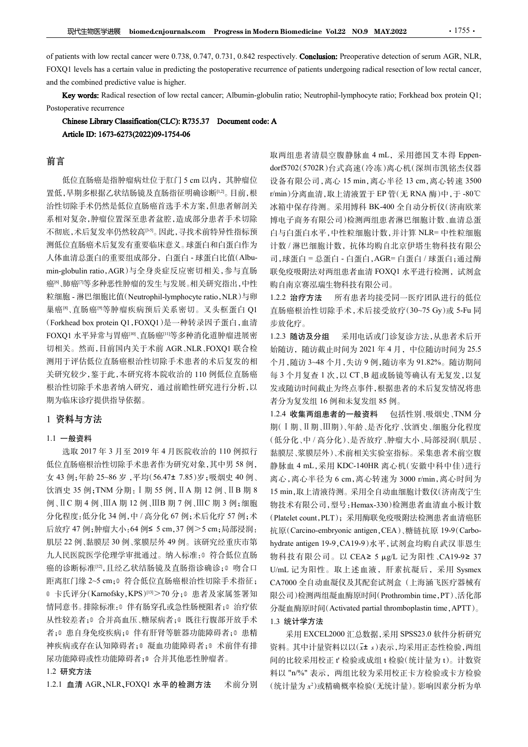The metal cancer were 0.738, 0.747, 0.731, 0.842 respectively. Conclusion: Preoperative detection of serum AGR, NLR,<br>FOXQ1 levels has a certain value in predicting the postoperative recurrence of patients undergoing radic The state of patients with low rectal cancer were 0.738, 0.747, 0.731, 0.842 respectively. **Conclusion:** Preoperative detection of serum AGR, NLR,<br>FOXQ1 levels has a certain value in predicting the postoperative recurrenc FA性型医学进展 biomed.cnjournals.com Progress in Modern Biomedicine Vol.22 NO.9 MAY.2022<br>of patients with low rectal cancer were 0.738, 0.747, 0.731, 0.842 respectively. Conclusion: Preoperative detection of serum AG<br>FOXQ1 leve **EXERADICATE RADICAL PROPERTIES AND THE VALUATION CONSIDER THE VALUATION CONSIDE PROPERTIES AS a certain value in predicting the postoperative recurrence of patients undergoing radical resection of low rectal cancer; Albu 现代生物医学进展** biomed.cnjournals.com Progress in Modern Biomedicine Vol.22 NO.9 M<br>of patients with low rectal cancer were 0.738, 0.747, 0.731, 0.842 respectively. Conclusion: Preoperative<br>FOXQ1 levels has a certain value in

# 前言

置低,早期多根据乙状结肠镜及直肠指征明确诊断[1,2]。目前,根 治性切除手术仍然是低位直肠癌首选手术方案,但患者解剖关 系相对复杂,肿瘤位置深至患者盆腔,造成部分患者手术切除 不彻底,术后复发率仍然较高[3-5]。因此,寻找术前特异性指标预 测低位直肠癌术后复发有重要临床意义。球蛋白和白蛋白作为 人体血清总蛋白的重要组成部分,白蛋白 - 球蛋白比值(Albuof patients with low rectal cancer were 0.738, 0.747, 0.731, 0.842 respectively. **Conclusion:** Preoperative<br> **FOXQ1** levels has a certain value in predicting the postoperative recurrence of patients undergoing radic<br>
and 癌<sup>[6</sup>、肺癌<sup>[7]</sup>等多种恶性肿瘤的发生与发展。相关研究指出,中性 FOXOI levels has a certain value in producting the pestoperative recurrence of patients undergoing radical resection of low rectal cancer,<br> **Key words:** Radical resection of low retal cancer, Albumin-globulin ratio; Neut **Key words:** Radical resection of low rectal cancer; Albumin-globulin ratio; Neutrophil-lymphocyte ratio; Fort<br> **Choises Library Classification(CLC): R735.37 Document code: A<br>
Article ID: 1673-6273(2022)99-1754-06<br>
<br>
The** FOXQ1 水平异常与胃癌[10]、直肠癌[11]等多种消化道肿瘤进展密 1.2.3 随访及分组 切相关。然而,目前国内关于术前 AGR、NLR、FOXQ1 联合检 测用于评估低位直肠癌根治性切除手术患者的术后复发的相 关研究较少,鉴于此,本研究将本院收治的 110 例低位直肠癌 根治性切除手术患者纳入研究,通过前瞻性研究进行分析,以 期为临床诊疗提供指导依据。

# 1 资料与方法

## 1.1 一般资料

选取 2017 年 3 月至 2019 年 4 月医院收治的 110 例拟行 饮酒史 35 例;TNM 分期:Ⅰ期 55 例,ⅡA 期 12 例、ⅡB 期 8 例、ⅡC 期 4 例、ⅢA 期 12 例、ⅢB 期 7 例、ⅢC 期 3 例;细胞 癌的诊断标准[12],且经乙状结肠镜及直肠指诊确诊;0 吻合口 距离肛门缘 2~5 cm;<sup>③</sup> 符合低位直肠癌根治性切除手术指征; 情同意书。排除标准:0 伴有肠穿孔或急性肠梗阻者;0 治疗依 分凝血酶原时间(Activated partial thromboplastin time, APTT)。 从性较差者;<sup>③</sup> 合并高血压、糖尿病者;<sup>④</sup> 既往行腹部开放手术 者;© 患自身免疫疾病;© 伴有肝肾等脏器功能障碍者;© 患精 采用 EXCEL2000 汇总数据,采用 SPSS23.0 软件分析研究 神疾病或存在认知障碍者;<sup>⑧</sup> 凝血功能障碍者;<sup>⑨</sup> 术前伴有排 尿功能障碍或性功能障碍者;<sup>⑩</sup> 合并其他恶性肿瘤者。

## 1.2 研究方法

1.2.1 血清 AGR、NLR、FOXQ1 水平的检测方法 术前分别

**现代生物医学进展 biomed.cnjournals.com** Progress in Modern Biomedicine Vol.22 NO.9 MAY.2022 · 1755·<br>tients with low rectal cancer were 0.738, 0.747, 0.731, 0.842 respectively. Conclusion: Preoperative detection of serum AGR, NL rm Biomedicine Vol.22 NO.9 MAY.2022<br>ectively. Conclusion: Preoperative detection of serum AGR, NLR,<br>rence of patients undergoing radical resection of low rectal cancer,<br>ulin ratio; Neutrophil-lymphocyte ratio; Forkhead bo dorf5702(5702R)台式高速(冷冻)离心机(深圳市凯铭杰仪器 **rm Biomedicine Vol.22 NO.9 MAY.2022 42:20:20**<br>ectively. **Conclusion:** Preoperative detection of serum AGR, NLR,<br>rence of patients undergoing radical resection of low rectal cancer,<br>ulin ratio; Neutrophil-lymphocyte rati r/min)分离血清,取上清液置于 EP 管(无 RNA 酶)中,于 -80℃ 冰箱中保存待测。采用博科 BK-400 全自动分析仪(济南欧莱 博电子商务有限公司)检测两组患者淋巴细胞计数、血清总蛋 白与白蛋白水平,中性粒细胞计数,并计算 NLR= 中性粒细胞 计数 / 淋巴细胞计数, 抗体均购自北京伊塔生物科技有限公 司,球蛋白 = 总蛋白 - 白蛋白,AGR= 白蛋白 / 球蛋白;通过酶 联免疫吸附法对两组患者血清 FOXQ1 水平进行检测,试剂盒 购自南京赛泓瑞生物科技有限公司。 ulin ratio; Neutrophil-lymphoeyte ratio; Forkhead box protein Q1;<br>
A<br>
<br>
A<br>
取两组患者清晨空腹静脉血 4 mL, 采用德国艾本得 Eppen-<br>dorf5702(5702R)台式高速(冷冻)高心机(深圳市凯格杰仪器<br>
<br>
doff5702(5702R)合式高速(冷冻高心化(深圳高小特速)<br>
<br>
strinn)分离血清,取上清液置于 EP 管(无 RNA 酶)中,于-

巢癌<sup>[8]</sup>、直肠癌<sup>[9]</sup>等肿瘤疾病预后关系密切。叉头框蛋白 Q1 直肠癌根治性切除手术,术后接受放疗(30~75 Gy)或 5-Fu 同 1.2.2 治疗方法 所有患者均接受同一医疗团队进行的低位 步放化疗。

> 采用电话或门诊复诊方法,从患者术后开 始随访,随访截止时间为 2021 年 4 月,中位随访时间为 25.5 个月,随访 3~48 个月,失访 9 例,随访率为 91.82%。随访期间 每 3 个月复查 1 次,以 CT、B 超或肠镜等确认有无复发,以复 发或随访时间截止为终点事件,根据患者的术后复发情况将患 者分为复发组 16 例和未复发组 85 例。

低位直肠癌根治性切除手术患者作为研究对象,其中男 58 例, 普脉血 4 mL,采用 KDC-140HR 离心机(安徽中科中佳)进行 女 43 例;年龄 25~86 岁,平均(56.47± 7.85)岁;吸烟史 40 例、 离心,离心半径为 6 cm,离心转速为 3000 r/min,离心时间为<br>饮酒史 35 例;TNM 分期: I 期 55 例, II A 期 12 例、II B 期 8 15 min,取上清液待测。采用全自动血细胞计数仪(济南茂宁生 分化程度:低分化 34 例,中 / 高分化 67 例;术后化疗 57 例;术 (Platelet count, PLT);采用酶联免疫吸附法检测患者血清癌胚 后放疗 <sup>47</sup> 例;肿瘤大小:<sup>64</sup> <sup>例</sup><sup>≤</sup> 5 cm,<sup>37</sup> <sup>例</sup><sup>&</sup>gt;5 cm;局部浸润: 肌层 22 例、黏膜层 30 例、浆膜层外 49 例。该研究经重庆市第 hydrate antigen 19-9, CA19-9)水平, 试剂盒均购自武汉菲恩生 九人民医院医学伦理学审批通过。纳入标准:© 符合低位直肠 物科技有限公司。以 CEA≥ 5 μg/L 记为阳性 、CA19-9≥ 37 ◎ 卡氏评分(Karnofsky,KPS)<sup>[13]</sup>>70分; 此者及家属签署知 限公司)检测两组凝血酶原时间(Prothrombin time,PT)、活化部 1.2.4 收集两组患者的一般资料 包括性别、吸烟史、TNM 分 期(Ⅰ期、Ⅱ期、Ⅲ期)、年龄、是否化疗、饮酒史、细胞分化程度 (低分化、中 / 高分化)、是否放疗、肿瘤大小、局部浸润(肌层、 黏膜层、浆膜层外)、术前相关实验室指标。采集患者术前空腹 静脉血 4 mL,采用 KDC-140HR 离心机(安徽中科中佳)进行 7、球车、高台上的。 5 cm, 离心转振 3000 ring, 2000 ring, 2000 ring, 2000 ring, 2000 ring, 2000 ring, 2000 ring, 2000 ring, 2000 ring, 2000 ring, 2000 ring, 2000 ring, 2000 ring, 2000 ring, 2000 ring, 2000 ring, 2000 ring, 2000 ring, 2 15,47 min,42 min,42 min,15,47 min,2021 min,42 min,42 min,42 min,42 min,42 min,42 min,42 min,42 min,42 min,42 min,42 min,42 min,42 min,42 min,42 min,42 min,42 min,42 min,42 min,42 min,42 min,42 min,42 min,42 min,42 min,42 物技术有限公司,型号:Hemax-330)检测患者血清血小板计数 (Platelet count,PLT);采用酶联免疫吸附法检测患者血清癌胚 , 19:57, 19:57, 19:57, 19:57, 19:57, 19:57, 19:57, 19:57, 19:57, 19:57, 19:57, 19:57, 19:57, 19:57, 19:57, 19:57, 19:57, 19:57, 19:57, 19:57, 19:57, 19:57, 19:57, 19:57, 19:57, 19:57, 19:57, 19:57, 19:57, 19:57, 19:57, 1 4.2.3. 随访及分组 采用电话或门诊复诊方法,从患者术后开展的时间,随时,随访及分组 采用电话或行为 9.22.25万元,是当前 5.25万元,通过了,通过了,通过了,通过了,通过了,到了19-9, 20-9, 20-9, 20-9, 20-9, 20-5, 20-9, 20-9, 20-9, 20-9, 20-9, 20-9, 20-9, 20-9, 20-9, 20-9, 20-9, 20-9, 20-9, 20-9, 20-U/mL 记为阳性。取上述血液,肝素抗凝后,采用 Sysmex CA7000 全自动血凝仪及其配套试剂盒(上海涵飞医疗器械有 7,1,202,2<br>《英国的报告》,以CT、B超或肠镜等确认有无复发情况将<br>发现随时间截止为终点事件,根据患者的术后复发情况将患处或随时时间截止为终点事件,根据患者的术后复发情况将是一个为复发组16例和未复发组88例。<br>2.24 收集两组患者的一般资料。包括性别、吸烟史、TNM 分<br>4.1.24 收集两组患者的一般资料。包括性别、吸烟史、TNM 分<br>期间 (工期、II期、平龄、是否化疗、饮酒史、细胞分化程度<br>期间 -4 和 集团的人类型  $\sim$  7.7 xy -1 x, 0.2 x, 0.2 x, 0.3 x, 0.8 x, 0.3 x, 0.4 x, 0.4 x, 0.7 x, 0.7 x, 0.7 x, 0.7 x, 0.7 x, 0.7 x, 0.7 x, 0.7 x, 0.7 x, 0.7 x, 0.7 x, 0.7 x, 0.7 x, 0.7 x, 0.7 x, 0.7 x, 0.7 x, 0.7 x, 0.7 x, 0.7 x, 0.7 x, 0.7 x,

# 1.3 统计学方法

资料。其中计量资料以以(x± s)表示,均采用正态性检验,两组 间的比较采用校正 t' 检验或成组 t 检验(统计量为 t)。计数资 料以 "n/%" 表示, 两组比较为采用校正卡方检验或卡方检验 (统计量为 x<sup>2</sup> )或精确概率检验(无统计量)。影响因素分析为单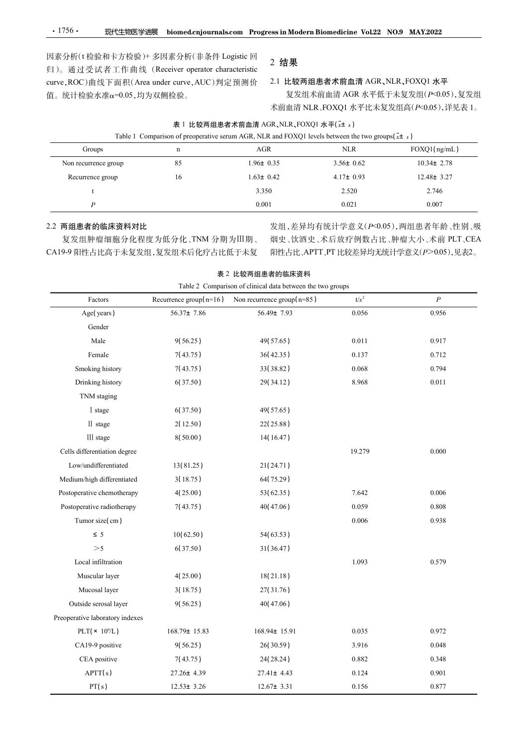因素分析(t 检验和卡方检验)+ 多因素分析(非条件 Logistic 回 •1756• 现代生物医学进展 biomed.cnjournals.com Progress in Modern Biomedicine Vol.22 NO.9 MAY.2022<br>因素分析(t 检验和卡方检验)+ 多因素分析(非条件 Logistic 回 apple 2 结果<br>归)。通过受试者工作曲线(Receiver operator characteristic 2 结果<br>curve,ROC)曲线下面积(Area under curv curve,ROC)曲线下面积(Area under curve,AUC)判定预测价 值。统计检验水准琢=0.05,均为双侧检验。

# 2 结果

| $\cdot$ 1756 $\cdot$<br>现代生物医学进展               |                  |                                                                                                                     |                                 |                                        |
|------------------------------------------------|------------------|---------------------------------------------------------------------------------------------------------------------|---------------------------------|----------------------------------------|
|                                                |                  |                                                                                                                     |                                 |                                        |
|                                                |                  |                                                                                                                     |                                 |                                        |
|                                                |                  |                                                                                                                     |                                 |                                        |
|                                                |                  |                                                                                                                     |                                 |                                        |
|                                                |                  | biomed.cnjournals.com Progress in Modern Biomedicine Vol.22 NO.9 MAY.2022                                           |                                 |                                        |
| 因素分析(t 检验和卡方检验)+ 多因素分析(非条件 Logistic 回          |                  |                                                                                                                     |                                 |                                        |
| 归)。通过受试者工作曲线 (Receiver operator characteristic |                  | 2 结果                                                                                                                |                                 |                                        |
| curve, ROC)曲线下面积(Area under curve, AUC)判定预测价   |                  |                                                                                                                     | 2.1 比较两组患者术前血清 AGR、NLR、FOXQ1 水平 |                                        |
| 值。统计检验水准α=0.05,均为双侧检验。                         |                  |                                                                                                                     |                                 | 复发组术前血清 AGR 水平低于未复发组(P<0.05),复发组       |
|                                                |                  |                                                                                                                     |                                 | 术前血清 NLR、FOXQ1 水平比未复发组高(P<0.05),详见表 1。 |
|                                                |                  | 表 1 比较两组患者术前血清 AGR、NLR、FOXQ1 水平(xt s)                                                                               |                                 |                                        |
| Groups                                         | $\mathbf n$      | Table 1 Comparison of preoperative serum AGR, NLR and FOXQ1 levels between the two groups $(x \pm s)$<br><b>AGR</b> | <b>NLR</b>                      | FOXQ1(ng/mL)                           |
| Non recurrence group                           | 85               | $1.96 \pm 0.35$                                                                                                     | $3.56 \pm 0.62$                 | $10.34 \pm 2.78$                       |
| Recurrence group                               | 16               | $1.63 \pm 0.42$                                                                                                     | $4.17 \pm 0.93$                 | $12.48 \pm 3.27$                       |
| t                                              |                  | 3.350                                                                                                               | 2.520                           | 2.746                                  |
| $\boldsymbol{P}$                               |                  | 0.001                                                                                                               | 0.021                           | 0.007                                  |
| 2.2 两组患者的临床资料对比                                |                  |                                                                                                                     |                                 | 发组,差异均有统计学意义(P<0.05),两组患者年龄、性别、吸       |
| 复发组肿瘤细胞分化程度为低分化、TNM 分期为III期、                   |                  |                                                                                                                     |                                 | 烟史、饮酒史、术后放疗例数占比、肿瘤大小、术前 PLT、CEA        |
| CA19-9 阳性占比高于未复发组,复发组术后化疗占比低于未复                |                  |                                                                                                                     |                                 | 阳性占比、APTT、PT 比较差异均无统计学意义(P>0.05),见表2。  |
|                                                |                  |                                                                                                                     |                                 |                                        |
|                                                |                  | 表 2 比较两组患者的临床资料<br>Table 2 Comparison of clinical data between the two groups                                       |                                 |                                        |
| Factors                                        |                  | Recurrence group( $n=16$ ) Non recurrence group( $n=85$ )                                                           | $t/x^2$                         | $\boldsymbol{P}$                       |
| Age(years)                                     | $56.37 \pm 7.86$ | 56.49± 7.93                                                                                                         | 0.056                           | 0.956                                  |
| Gender                                         |                  |                                                                                                                     |                                 |                                        |
| Male                                           | 9(56.25)         | 49(57.65)                                                                                                           | 0.011                           | 0.917                                  |
|                                                | 7(43.75)         | 36(42.35)                                                                                                           | 0.137                           | 0.712                                  |

## 2.2 两组患者的临床资料对比

|                                   |                  | 表 1 比较两组患者术前血清 AGR、NLR、FOXQ1 水平(xt s)                                                                 |                 |                                       |
|-----------------------------------|------------------|-------------------------------------------------------------------------------------------------------|-----------------|---------------------------------------|
|                                   |                  | Table 1 Comparison of preoperative serum AGR, NLR and FOXQ1 levels between the two groups $(x \pm s)$ |                 |                                       |
| Groups                            | $\mathbf n$      | $\rm{AGR}$                                                                                            | $\rm NLR$       | FOXQ1(ng/mL)                          |
| Non recurrence group              | 85               | $1.96 \pm 0.35$                                                                                       | $3.56 \pm 0.62$ | $10.34 \pm 2.78$                      |
| Recurrence group                  | 16               | $1.63 \pm 0.42$                                                                                       | $4.17 \pm 0.93$ | $12.48 \pm 3.27$                      |
| t                                 |                  | 3.350                                                                                                 | 2.520           | 2.746                                 |
| $\boldsymbol{P}$                  |                  | 0.001                                                                                                 | 0.021           | 0.007                                 |
| 2.2 两组患者的临床资料对比                   |                  |                                                                                                       |                 | 发组,差异均有统计学意义(P<0.05),两组患者年龄、性别、吸      |
| 复发组肿瘤细胞分化程度为低分化、TNM 分期为III期、      |                  |                                                                                                       |                 | 烟史、饮酒史、术后放疗例数占比、肿瘤大小、术前 PLT、CEA       |
| CA19-9 阳性占比高于未复发组,复发组术后化疗占比低于未复   |                  |                                                                                                       |                 | 阳性占比、APTT、PT 比较差异均无统计学意义(P>0.05),见表2。 |
|                                   |                  | 表 2 比较两组患者的临床资料                                                                                       |                 |                                       |
|                                   |                  | Table 2 Comparison of clinical data between the two groups                                            |                 |                                       |
| Factors                           |                  | Recurrence group( $n=16$ ) Non recurrence group( $n=85$ )                                             | $t/x^2$         | $\boldsymbol{P}$                      |
| Age(years)                        | $56.37 \pm 7.86$ | $56.49 \pm 7.93$                                                                                      | 0.056           | 0.956                                 |
| Gender                            |                  |                                                                                                       |                 |                                       |
| Male                              | 9(56.25)         | 49(57.65)                                                                                             | 0.011           | 0.917                                 |
| Female                            | 7(43.75)         | 36(42.35)                                                                                             | 0.137           | 0.712                                 |
| Smoking history                   | 7(43.75)         | 33(38.82)                                                                                             | 0.068           | 0.794                                 |
| Drinking history                  | 6(37.50)         | 29(34.12)                                                                                             | 8.968           | 0.011                                 |
| TNM staging                       |                  |                                                                                                       |                 |                                       |
| I stage                           | 6(37.50)         | 49(57.65)                                                                                             |                 |                                       |
| II stage                          | 2(12.50)         | 22(25.88)                                                                                             |                 |                                       |
| III stage                         | 8(50.00)         | 14(16.47)                                                                                             |                 |                                       |
| Cells differentiation degree      |                  |                                                                                                       | 19.279          | 0.000                                 |
| Low/undifferentiated              | 13(81.25)        | 21(24.71)                                                                                             |                 |                                       |
| Medium/high differentiated        | 3(18.75)         | 64(75.29)                                                                                             |                 |                                       |
| Postoperative chemotherapy        | 4(25.00)         | 53(62.35)                                                                                             | 7.642           | 0.006                                 |
| Postoperative radiotherapy        | 7(43.75)         | 40(47.06)                                                                                             | 0.059           | $0.808\,$                             |
| Tumor size(cm)                    |                  |                                                                                                       | 0.006           | 0.938                                 |
| $\leq 5$                          | 10(62.50)        | 54(63.53)                                                                                             |                 |                                       |
| $>\!5$                            | 6(37.50)         | 31(36.47)                                                                                             |                 |                                       |
| Local infiltration                |                  |                                                                                                       | 1.093           | 0.579                                 |
| Muscular layer                    | 4(25.00)         | 18(21.18)                                                                                             |                 |                                       |
| Mucosal layer                     | 3(18.75)         | 27(31.76)                                                                                             |                 |                                       |
| Outside serosal layer             | 9(56.25)         | 40(47.06)                                                                                             |                 |                                       |
| Preoperative laboratory indexes   |                  |                                                                                                       |                 |                                       |
| PLT( $\times$ 10 <sup>9</sup> /L) | 168.79± 15.83    | 168.94± 15.91                                                                                         | 0.035           | 0.972                                 |
| CA19-9 positive                   | 9(56.25)         | 26(30.59)                                                                                             | 3.916           | 0.048                                 |
| CEA positive                      | 7(43.75)         | 24(28.24)                                                                                             | 0.882           | 0.348                                 |
| APT(s)                            | $27.26 \pm 4.39$ | $27.41 \pm 4.43$                                                                                      | 0.124           | 0.901                                 |
| PT(s)                             | $12.53 \pm 3.26$ | $12.67 \pm 3.31$                                                                                      | 0.156           | 0.877                                 |
|                                   |                  |                                                                                                       |                 |                                       |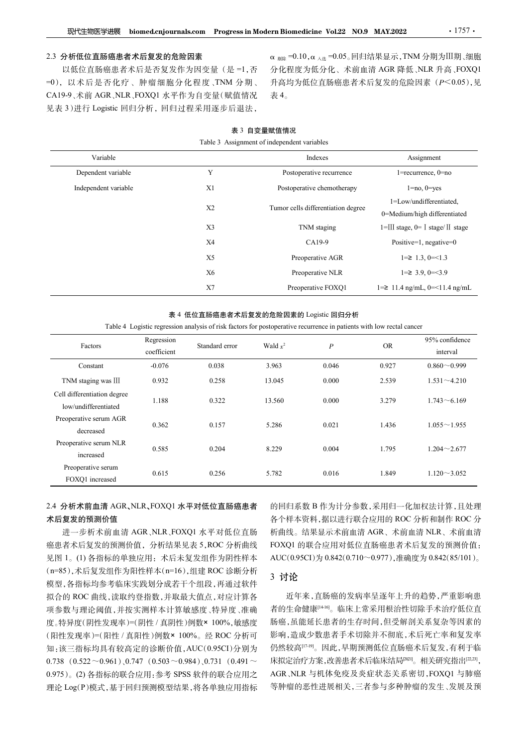#### 2.3 分析低位直肠癌患者术后复发的危险因素

| 表 3 自变量赋值情况 |
|-------------|
|-------------|

| Table 3 Assignment of independent variables |
|---------------------------------------------|
|                                             |

| 现代生物医学进展                                                                                                                                                            |                           |                                                                                                                                                             |             | biomed.cnjournals.com Progress in Modern Biomedicine Vol.22 NO.9 MAY.2022 |            | $\cdot$ 1757 $\cdot$                                                                                                                                   |
|---------------------------------------------------------------------------------------------------------------------------------------------------------------------|---------------------------|-------------------------------------------------------------------------------------------------------------------------------------------------------------|-------------|---------------------------------------------------------------------------|------------|--------------------------------------------------------------------------------------------------------------------------------------------------------|
| 2.3 分析低位直肠癌患者术后复发的危险因素<br>以低位直肠癌患者术后是否复发作为因变量(是=1,否<br>=0), 以术后是否化疗、肿瘤细胞分化程度、TNM 分期、<br>CA19-9、术前 AGR、NLR、FOXQ1 水平作为自变量(赋值情况<br>见表 3)进行 Logistic 回归分析, 回归过程采用逐步后退法, |                           |                                                                                                                                                             | 表4。         |                                                                           |            | α $_{\text{MIR}}$ =0.10, α $_{\text{A}}\text{H}$ =0.05. 回归结果显示, TNM 分期为III期、细胞<br>分化程度为低分化、术前血清 AGR 降低、NLR 升高、FOXQ1<br>升高均为低位直肠癌患者术后复发的危险因素 (P<0.05),见 |
|                                                                                                                                                                     |                           | Table 3 Assignment of independent variables                                                                                                                 | 表 3 自变量赋值情况 |                                                                           |            |                                                                                                                                                        |
| Variable                                                                                                                                                            |                           |                                                                                                                                                             |             | Indexes                                                                   |            | Assignment                                                                                                                                             |
| Dependent variable                                                                                                                                                  |                           | Y                                                                                                                                                           |             | Postoperative recurrence                                                  |            | $1 =$ recurrence, $0 =$ no                                                                                                                             |
| Independent variable                                                                                                                                                |                           | X1                                                                                                                                                          |             | Postoperative chemotherapy                                                |            | $1 = no, 0 = yes$                                                                                                                                      |
|                                                                                                                                                                     |                           | X2                                                                                                                                                          |             | Tumor cells differentiation degree                                        |            | 1=Low/undifferentiated,<br>0=Medium/high differentiated                                                                                                |
|                                                                                                                                                                     |                           | X3                                                                                                                                                          |             | TNM staging                                                               |            | 1=III stage, 0= I stage/II stage                                                                                                                       |
|                                                                                                                                                                     |                           | X4                                                                                                                                                          |             | CA19-9                                                                    |            | Positive=1, negative=0                                                                                                                                 |
|                                                                                                                                                                     |                           | X5                                                                                                                                                          |             | Preoperative AGR                                                          |            | $1 = \ge 1.3, 0 = \le 1.3$                                                                                                                             |
|                                                                                                                                                                     |                           | <b>X6</b>                                                                                                                                                   |             | Preoperative NLR                                                          |            | $1 = \geq 3.9, 0 = \leq 3.9$                                                                                                                           |
|                                                                                                                                                                     |                           | X7                                                                                                                                                          |             | Preoperative FOXQ1                                                        |            | $1 = \ge 11.4$ ng/mL, $0 = < 11.4$ ng/mL                                                                                                               |
|                                                                                                                                                                     |                           | 表 4 低位直肠癌患者术后复发的危险因素的 Logistic 回归分析<br>Table 4 Logistic regression analysis of risk factors for postoperative recurrence in patients with low rectal cancer |             |                                                                           |            |                                                                                                                                                        |
| Factors                                                                                                                                                             | Regression<br>coefficient | Standard error                                                                                                                                              | Wald $x^2$  | $\boldsymbol{P}$                                                          | ${\sf OR}$ | 95% confidence<br>interval                                                                                                                             |
| Constant                                                                                                                                                            | $-0.076$                  | 0.038                                                                                                                                                       | 3.963       | 0.046                                                                     | 0.927      | $0.860 - 0.999$                                                                                                                                        |
| TNM staging was III                                                                                                                                                 | 0.932                     | 0.258                                                                                                                                                       | 13.045      | 0.000                                                                     | 2.539      | $1.531 - 4.210$                                                                                                                                        |
| Cell differentiation degree<br>low/undifferentiated                                                                                                                 | 1.188                     | 0.322                                                                                                                                                       | 13.560      | 0.000                                                                     | 3.279      | $1.743 - 6.169$                                                                                                                                        |
| Preoperative serum AGR<br>decreased                                                                                                                                 | 0.362                     | 0.157                                                                                                                                                       | 5.286       | 0.021                                                                     | 1.436      | $1.055 \sim 1.955$                                                                                                                                     |
| Preoperative serum NLR<br>increased                                                                                                                                 | 0.585                     | 0.204                                                                                                                                                       | 8.229       | 0.004                                                                     | 1.795      | $1.204 - 2.677$                                                                                                                                        |

#### 表 4 低位直肠癌患者术后复发的危险因素的 Logistic 回归分析

| independent variable                                |             | ΛI                                  |            | Postoperative chemotherapy                                                                                           |            | $1 = no$ , $0 = yes$                                    |
|-----------------------------------------------------|-------------|-------------------------------------|------------|----------------------------------------------------------------------------------------------------------------------|------------|---------------------------------------------------------|
|                                                     |             | X2                                  |            | Tumor cells differentiation degree                                                                                   |            | 1=Low/undifferentiated,<br>0=Medium/high differentiated |
|                                                     |             | X3                                  |            | TNM staging                                                                                                          |            | $1 =$ III stage, $0 =$ I stage/ II stage                |
|                                                     |             | <b>X4</b>                           |            | CA19-9                                                                                                               |            | Positive=1, negative=0                                  |
|                                                     |             | X5                                  |            | Preoperative AGR                                                                                                     |            | $1 = \ge 1.3$ , $0 = \le 1.3$                           |
|                                                     |             | <b>X6</b>                           |            | Preoperative NLR                                                                                                     |            | $1 = \geq 3.9, 0 = \leq 3.9$                            |
|                                                     |             | X7                                  |            | Preoperative FOXQ1                                                                                                   |            | $1 = \ge 11.4$ ng/mL, $0 = \le 11.4$ ng/mL              |
|                                                     | Regression  | 表 4 低位直肠癌患者术后复发的危险因素的 Logistic 回归分析 |            | Table 4 Logistic regression analysis of risk factors for postoperative recurrence in patients with low rectal cancer |            | 95% confidence                                          |
| Factors                                             | coefficient | Standard error                      | Wald $x^2$ | $\boldsymbol{P}$                                                                                                     | ${\rm OR}$ | interval                                                |
| Constant                                            | $-0.076$    | 0.038                               | 3.963      | 0.046                                                                                                                | 0.927      | $0.860 - 0.999$                                         |
| TNM staging was III                                 | 0.932       | 0.258                               | 13.045     | 0.000                                                                                                                | 2.539      | $1.531 - 4.210$                                         |
| Cell differentiation degree<br>low/undifferentiated | 1.188       | 0.322                               | 13.560     | 0.000                                                                                                                | 3.279      | $1.743 \sim 6.169$                                      |
| Preoperative serum AGR<br>decreased                 | 0.362       | 0.157                               | 5.286      | 0.021                                                                                                                | 1.436      | $1.055 \sim 1.955$                                      |
| Preoperative serum NLR<br>increased                 | 0.585       | 0.204                               | 8.229      | 0.004                                                                                                                | 1.795      | $1.204 \sim 2.677$                                      |
|                                                     |             | 0.256                               | 5.782      | 0.016                                                                                                                | 1.849      | $1.120 \sim 3.052$                                      |

# 2.4 分析术前血清 AGR、NLR、FOXQ1 水平对低位直肠癌患者 术后复发的预测价值

进一步析术前血清 AGR、NLR、FOXQ1 水平对低位直肠 癌患者术后复发的预测价值,分析结果见表 5,ROC 分析曲线 见图 1。(1) 各指标的单独应用: 术后未复发组作为阴性样本 (n=85),术后复发组作为阳性样本(n=16),组建 ROC 诊断分析 模型,各指标均参考临床实践划分成若干个组段,再通过软件 拟合的 ROC 曲线,读取约登指数,并取最大值点,对应计算各 项参数与理论阈值,并按实测样本计算敏感度、特异度、准确 度。特异度(阴性发现率)=(阴性 / 真阴性)例数× 100%,敏感度 (阳性发现率)=(阳性 / 真阳性)例数× 100%。经 ROC 分析可 知:该三指标均具有较高定的诊断价值,AUC(0.95CI)分别为 0.738  $(0.522 \sim 0.961)$ , 0.747  $(0.503 \sim 0.984)$ , 0.731  $(0.491 \sim$ 0.975)。(2) 各指标的联合应用:参考 SPSS 软件的联合应用之 理论 Log(P)模式,基于回归预测模型结果,将各单独应用指标 的回归系数 B 作为计分参数,采用归一化加权法计算,且处理 各个样本资料,据以进行联合应用的 ROC 分析和制作 ROC 分 析曲线。结果显示术前血清 AGR、术前血清 NLR、术前血清 FOXQ1 的联合应用对低位直肠癌患者术后复发的预测价值: AUC(0.95CI)为 0.842(0.710~0.977),准确度为 0.842(85/101)。

# 3 讨论

近年来,直肠癌的发病率呈逐年上升的趋势,严重影响患 者的生命健康[14-16]。临床上常采用根治性切除手术治疗低位直 肠癌,虽能延长患者的生存时间,但受解剖关系复杂等因素的 影响,造成少数患者手术切除并不彻底,术后死亡率和复发率 仍然较高[17-19]。因此,早期预测低位直肠癌术后复发,有利于临 床拟定治疗方案,改善患者术后临床结局<sup>[201]</sup>。相关研究指出<sup>[22,23</sup>], AGR、NLR 与机体免疫及炎症状态关系密切,FOXQ1 与肺癌 等肿瘤的恶性进展相关,三者参与多种肿瘤的发生、发展及预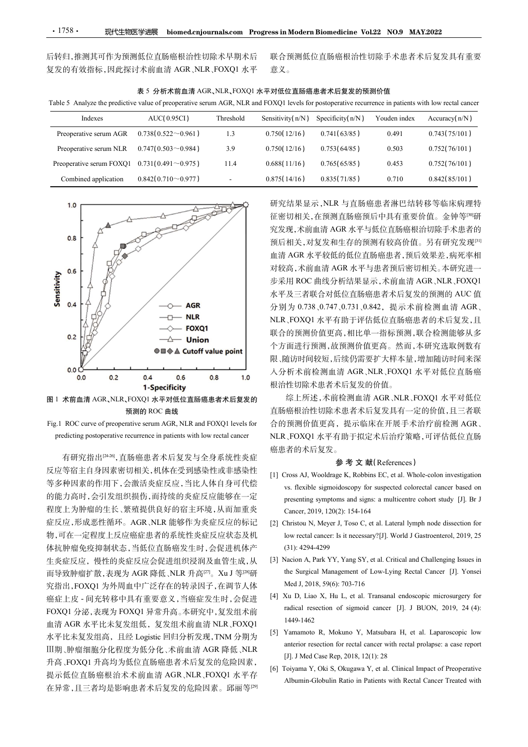| 表 5 分析术前血清 AGR、NLR、FOXQ1 水平对低位直肠癌患者术后复发的预测价值 |  |
|----------------------------------------------|--|
|----------------------------------------------|--|

| $\cdot$ 1758 $\cdot$<br>现代生物医学进展                                                                                                                     |                                              |           | biomed.cnjournals.com Progress in Modern Biomedicine Vol.22 NO.9 MAY.2022 |                  |              |                                                                 |
|------------------------------------------------------------------------------------------------------------------------------------------------------|----------------------------------------------|-----------|---------------------------------------------------------------------------|------------------|--------------|-----------------------------------------------------------------|
| 言转归,推测其可作为预测低位直肠癌根治性切除术早期术后                                                                                                                          |                                              |           |                                                                           |                  |              | 联合预测低位直肠癌根治性切除手术患者术后复发具有重要                                      |
| 复发的有效指标,因此探讨术前血清 AGR、NLR、FOXQ1 水平                                                                                                                    |                                              |           | 意义。                                                                       |                  |              |                                                                 |
|                                                                                                                                                      |                                              |           |                                                                           |                  |              |                                                                 |
|                                                                                                                                                      |                                              |           |                                                                           |                  |              |                                                                 |
| Table 5 Analyze the predictive value of preoperative serum AGR, NLR and FOXQ1 levels for postoperative recurrence in patients with low rectal cancer | 表 5 分析术前血清 AGR、NLR、FOXQ1 水平对低位直肠癌患者术后复发的预测价值 |           |                                                                           |                  |              |                                                                 |
| Indexes                                                                                                                                              | AUC(0.95CI)                                  | Threshold | Sensitivity(n/N)                                                          | Specificity(n/N) | Youden index | Accuracy $(n/N)$                                                |
| Preoperative serum AGR                                                                                                                               | $0.738(0.522\sim0.961)$                      | 1.3       | 0.750(12/16)                                                              | 0.741(63/85)     | 0.491        | 0.743(75/101)                                                   |
| Preoperative serum NLR                                                                                                                               | $0.747(0.503\text{~}0.984)$                  | 3.9       | 0.750(12/16)                                                              | 0.753(64/85)     | 0.503        | 0.752(76/101)                                                   |
| Preoperative serum FOXQ1                                                                                                                             | $0.731(0.491\sim 0.975)$                     | 11.4      | 0.688(11/16)                                                              | 0.765(65/85)     | 0.453        | 0.752(76/101)                                                   |
| Combined application                                                                                                                                 | $0.842(0.710\sim 0.977)$                     | $\sim$    | 0.875(14/16)                                                              | 0.835(71/85)     | 0.710        | 0.842(85/101)                                                   |
|                                                                                                                                                      |                                              |           |                                                                           |                  |              |                                                                 |
| 1.0                                                                                                                                                  | 2900                                         |           |                                                                           |                  |              | 研究结果显示, NLR 与直肠癌患者淋巴结转移等临床病理特<br>征密切相关,在预测直肠癌预后中具有重要价值。金钟等[30]研 |





有研究指出[24-26],直肠癌患者术后复发与全身系统性炎症 反应等宿主自身因素密切相关,机体在受到感染性或非感染性 [1] Cross AJ, Wooldrage K, Robbins EC, et al. Whole-colon investigation 程度上为肿瘤的生长、繁殖提供良好的宿主环境,从而加重炎 Cancer. 2019. 120(2): 154-164 症反应,形成恶性循环。AGR、NLR 能够作为炎症反应的标记 [2] Christou N. Mever J. Toso C. et al. Lateral lymph node dissection for 体抗肿瘤免疫抑制状态,当低位直肠癌发生时,会促进机体产 生炎症反应,慢性的炎症反应会促进组织浸润及血管生成,从 [3] Nacion A, Park YY, Yang SY, et al. Critical and Challenging Issues in 究指出,FOXQ1 为外周血中广泛存在的转录因子,在调节人体 癌症上皮 - 间充转移中具有重要意义,当癌症发生时,会促进<br>FOXO1 公巡 志思光 FOXO1 見當升京 太巫容中 复发织术的 radical resection of sigmoid cancer [J]. J BUON, 2019, 24 (4): FOXQ1 分泌,表现为 FOXQ1 异常升高。本研究中,复发组术前 血清 AGR 水平比未复发组低, 复发组术前血清 NLR、FOXQ1<br>大平从大气公约克、兄名人、文、同中公长公理 FDRA公世以、 [5] Yamamoto R, Mokuno Y, Matsubara H, et al. Laparoscopic low Ⅲ期、肿瘤细胞分化程度为低分化、术前血清 AGR 降低、NLR 升高、FOXQ1 升高均为低位直肠癌患者术后复发的危险因素, [b]. Strict Case Rep, 2010, 12(1): 20<br>[6] Toiyama Y, Oki S, Okugawa Y, et al. Clinical Impact of Preoperative 在异常,且三者均是影响患者术后复发的危险因素。邱丽等[29]

研究结果显示,NLR 与直肠癌患者淋巴结转移等临床病理特 征密切相关,在预测直肠癌预后中具有重要价值。金钟等<sup>[80]</sup>研 究发现,术前血清 AGR 水平与低位直肠癌根治切除手术患者的 预后相关,对复发和生存的预测有较高价值。另有研究发现[31] 血清 AGR 水平较低的低位直肠癌患者,预后效果差,病死率相 对较高,术前血清 AGR 水平与患者预后密切相关。本研究进一 步采用 ROC 曲线分析结果显示,术前血清 AGR、NLR、FOXQ1 水平及三者联合对低位直肠癌患者术后复发的预测的 AUC 值 分别为 0.738、0.747、0.731、0.842,提示术前检测血清 AGR、 NLR、FOXQ1 水平有助于评估低位直肠癌患者的术后复发,且 联合的预测价值更高,相比单一指标预测,联合检测能够从多 个方面进行预测,故预测价值更高。然而,本研究选取例数有 限、随访时间较短,后续仍需要扩大样本量,增加随访时间来深 入分析术前检测血清 AGR、NLR、FOXQ1 水平对低位直肠癌 根治性切除术患者术后复发的价值。 9. App 3. Thin years and the set al. Media of the set al. App 3. App 3. App 3. App 3. App 4. App 4. App 4. App 4. App 4. App 4. App 4. App 4. App 4. App 4. App 4. App 4. App 4. App 4. App 4. App 4. App 4. App 4. App 4. A vs. flexible sigmoidscutten sigmoidscutten in the sigmoid signoid of the signoid of signoids.<br>
Flexible signoids and the signoids of subsection for suspected colors (A) from the suspected color suspected cancer in the sus [5], AB | | The Signs: The Signs: The Signs: A MUNIC Signs: A MUNIC Signs: A MUNIC Signs: A MUNIC SIGNS: A MUNIC COR A MUNIC CORT<br>[5] EXERC 曲线分析结果显示、术前血清 AGR、FILR, FOXQ1<br>[5] O.738 0.747 0.731 0.842, 提示术前检测血清 AGR、<br>[50XQ1 Cancer, 2019, 120(2): 154-164 水平及三者联合对做位直肠癌患者不后复发的预测的 AUC 值<br>分别为 0.738 ,0.747 ,0.731 ,0.842, 提示术 前检测 血清 AGR<br> NLR, FOXQ1 水平有助于评估低位直肠癌患者的木后复发,且<br><br>联合的预测价值更高,相比单一指标预测,联合检测能够从多<br>个方面进行预测,故预测价值更高。然而,本研究选取例数有<br><br>R、随访时间较短,后续仍需要扩大样本量,增加随访时间来深<br>人分析术前检测血清 AGR、NLR、FOXQ J为 0.738 ,0.747 ,0.731, 0.842, 提示术前检测血清 AGR<br>,FOXQ1 水平有助于评估低位直肠癌患者的术后复发,且<br>,FOXQ1 水平有助于评估低位直肠癌患者的术后复发,且<br>,FOXQ1 水平有助于评估低位直肠癌、全合测能够从多<br>面进行预测,做预测价量更高、然而,本研究选取例数有<br>,<br>循环时间较短,后续仍需要扩大样本量,增加随访时间来深<br>,<br>,标准前检测血清 AGR、NLR、FOXQ1 水平对低位直肠癌<br>,性 (3): FOXQ1 水平有助于评估低位直肠癌患者的术后复发,且<br>(4): 6)预测价值更高,相比单一指标预测,联合检测能够从多<br>(面进行预测,故预测价值更高。然而,本研究选取例数有<br>(面进行预测,反预测价值更高。然而,本研究选取例数有<br>(面进行预测,点接的需要扩大样本量,增加随访时间案,<br>标准,时候,具体,不同时,不同时,不同时,<br>标准,时候,患者术后复发具有一定的价值,且三者联<br>(特别性)除术患者术后复发具有一定的价值,且三者联<br>(特

预测的 ROC 曲线 直肠癌根治性切除术患者术后复发具有一定的价值,且三者联 。Xu J <sup>等</sup>[28]<sup>研</sup> 综上所述,术前检测血清 AGR、NLR、FOXQ1 水平对低位 合的预测价值更高,提示临床在开展手术治疗前检测 AGR、 NLR、FOXQ1 水平有助于拟定术后治疗策略,可评估低位直肠 癌患者的术后复发。 联合的预测价值更高,相比单一指标预测,联合检测能够从多<br>
个方面进行预测,故预测价值更高。然而,本研究选取例数有<br>
限、随访时间较短,后续仍需要扩大样本量,增加随访时间来深<br>
以外析术,除检测血清 AGR、NLR、FOXQ1 水平对低位直肠癌<br>
相治性切除术患者术后复发具有一定的价值,且三者联<br>
台性切除术患者术后复发具有一定的价值,且三者联<br>
台的预测价值更高,提示临床在开展手术治疗前检测 AGR、<br>
<br>
IID 癌根治性切除术患者术 T面进行预测,故预测价值更高。然而,本研究选取例数有<br>the Surgical Management of Low-Lying Rectal Management of Rectal Management of Rectal Management of Rectal Management of Rectal Management of Rectal Management of ACR NER, FOXQ1 水平对低位<br>the Surgic 施力时效短,后续仍需要扩大样本量,增加随访时间来深度,标准,最大的公司,水平对低位直肠癌,性切除术患者不同复发的价值。<br><br>新大前检测血清 AGR、NLR、FOXQ1 水平对低位直肠癌,性以降水患者不同复发的价值。<br><br>特性切除术患者术后复发具有一定的价值,且三者联<br>原根治性切除术患者术后复发具有一定的价值,且三者联<br>原例价值更高,提示临床在开展手术治疗前检测 AGR、<br>L, FOXQ1 水平有助于拟定术后治疗策略,可评估低位直肠<br><br>T预确 人分析术前检测血清 AGR、NLR、FOXQ1 水平对低位直肠癌<br>根治性切除术患者术后复发的价值。<br><br>線上所述、未前检测血清 AGR、NLR、FOXQ1 水平对低位<br><br>直肠癌根治性切除术患者术后复发具有一定的价值,且三者联<br>合的预测价值更高, 提示临床在开展手术治疗前检测 AGR、NLR、FOXQ1 水平有助于拟定术后治疗策略,可评估低位直肠<br><br>統計者的术后复发。<br><br> $\bullet \bullet \bullet \bullet \bullet \bullet \bullet \bullet \bullet \bullet \bullet \bullet \bullet \bullet \bullet \bullet \bullet$ r性切除术患者术后复发的价值。<br>综上所述, 术前检测血清 AGR、NLR、FOXQ1 水平对低位<br>原根治性切除术患者术后复发具有一定的价值, 且三者联<br>预测价值更高, 提示临床在开展手术治疗前检测 AGR、<br>FOXQ1 水平有助于拟定术后治疗策略, 可评估低位直肠<br>者的术后复发。<br>**参考文 献**(References)<br>ross AJ, Woodrage K, Robbins EC, et al. Whole-colon investi 19] Notes R, Mokuno Y, Matsubara H, et al. Laparoscopic low<br>
Intervention R, Mokuno Y, Matsubara H, et al. Laparoscopic low-<br>
(11) Cross AJ, Wooldrage K, Robbins EC, et al. Whole-colon investigation<br>
(11) Cross AJ, Woold

#### 参 考 文 献(References)

- 等多种因素的作用下,会激活炎症反应,当比人体自身可代偿 vs. flexible sigmoidoscopy for suspected colorectal cancer based on 的能力高时,会引发组织损伤,而持续的炎症反应能够在一定 presenting symptoms and signs: a multicentre cohort study [J]. Br J The Higgs of resection for resection for rectal cancer in the state of Fig. 1494.<br>
Fig. 16 (11)  $\pm$  7 (11)  $\pm$  7 (11)  $\pm$  7 (11)  $\pm$  7 (11)  $\pm$  7 (11)  $\pm$  7 (11)  $\pm$  7 (11)  $\pm$  7 (11)  $\pm$  7 (11)  $\pm$  7 (11)  $\pm$ [JReform [m2xe] Prince The Half Prince The Theorem with Recent Prince Theorem (1, FOXO1 水平有助于拟定木后治疗策略, 可评估低位直肠,<br>
- FOXO1 水平有助于拟定木后治疗策略, 可评估低位直肠<br>
- 参考 文 献(References)<br>
Tross AJ, Wooldrage K, Robbins EC, et al. Whole-colon ELER, I-OAQT /  $K$ <sup>-</sup>THD J 3BAZ / 16(14) 1998 PH 3) RP PH 113 DM 2.<br><br><br> 癌患者的术后复发 .<br> **参 考 文 献 (References)**<br> (1) Cross AJ, Wooldrage K, Robbins EC, et al. Whole-colon investigation<br> vs. flexible sigmoidoscopy for suspected Albumin-Globulin Ratio in Patients with Rectal Cancer Treated with
- 物,可在一定程度上反应癌症患者的系统性炎症反应状态及机
- 而导致肿瘤扩散,表现为 AGR 降低、NLR 升高<sup>[27]</sup>。Xu J 等<sup>[28]</sup>研 the Surgical Management of Low-Lying Rectal Cancer [J]. Yonsei
	- 1449-1462
- 水平比未复发组高, 且经 Logistic 回归分析发现,TNM 分期为<br>anterior resection for rectal cancer with rectal prolapse: a case report
- 提示低位直肠癌根治术术前血清 AGR、NLR、FOXQ1 水平存<br>Albumin-Globulin Ratio in Patients with Rectal Cancer Treated with